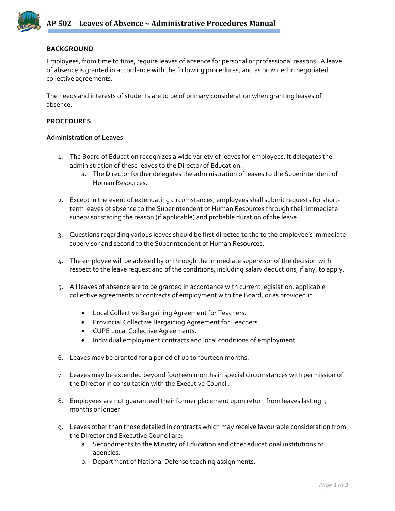

### **BACKGROUND**

Employees, from time to time, require leaves of absence for personal or professional reasons. A leave of absence is granted in accordance with the following procedures, and as provided in negotiated collective agreements.

The needs and interests of students are to be of primary consideration when granting leaves of absence.

### **PROCEDURES**

#### **Administration of Leaves**

- 1. The Board of Education recognizes a wide variety of leaves for employees. It delegates the administration of these leaves to the Director of Education.
	- a. The Director further delegates the administration of leaves to the Superintendent of Human Resources.
- 2. Except in the event of extenuating circumstances, employees shall submit requests for shortterm leaves of absence to the Superintendent of Human Resources through their immediate supervisor stating the reason (if applicable) and probable duration of the leave.
- 3. Questions regarding various leaves should be first directed to the to the employee's immediate supervisor and second to the Superintendent of Human Resources.
- 4. The employee will be advised by or through the immediate supervisor of the decision with respect to the leave request and of the conditions, including salary deductions, if any, to apply.
- 5. All leaves of absence are to be granted in accordance with current legislation, applicable collective agreements or contracts of employment with the Board, or as provided in:
	- Local Collective Bargaining Agreement for Teachers.
	- Provincial Collective Bargaining Agreement for Teachers.
	- CUPE Local Collective Agreements.
	- Individual employment contracts and local conditions of employment
- 6. Leaves may be granted for a period of up to fourteen months.
- 7. Leaves may be extended beyond fourteen months in special circumstances with permission of the Director in consultation with the Executive Council.
- 8. Employees are not guaranteed their former placement upon return from leaves lasting 3 months or longer.
- 9. Leaves other than those detailed in contracts which may receive favourable consideration from the Director and Executive Council are:
	- a. Secondments to the Ministry of Education and other educational institutions or agencies.
	- b. Department of National Defense teaching assignments.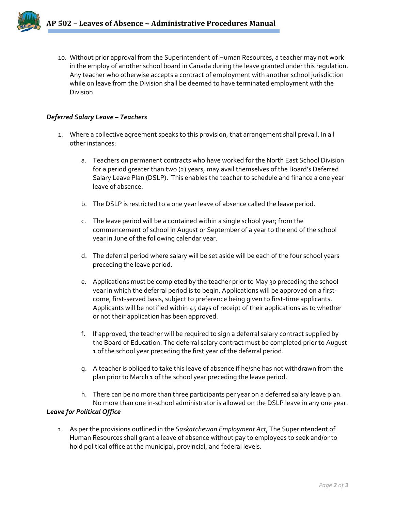

10. Without prior approval from the Superintendent of Human Resources, a teacher may not work in the employ of another school board in Canada during the leave granted under this regulation. Any teacher who otherwise accepts a contract of employment with another school jurisdiction while on leave from the Division shall be deemed to have terminated employment with the Division.

# *Deferred Salary Leave – Teachers*

- 1. Where a collective agreement speaks to this provision, that arrangement shall prevail. In all other instances:
	- a. Teachers on permanent contracts who have worked for the North East School Division for a period greater than two (2) years, may avail themselves of the Board's Deferred Salary Leave Plan (DSLP). This enables the teacher to schedule and finance a one year leave of absence.
	- b. The DSLP is restricted to a one year leave of absence called the leave period.
	- c. The leave period will be a contained within a single school year; from the commencement of school in August or September of a year to the end of the school year in June of the following calendar year.
	- d. The deferral period where salary will be set aside will be each of the four school years preceding the leave period.
	- e. Applications must be completed by the teacher prior to May 30 preceding the school year in which the deferral period is to begin. Applications will be approved on a first‐ come, first-served basis, subject to preference being given to first-time applicants. Applicants will be notified within 45 days of receipt of their applications as to whether or not their application has been approved.
	- f. If approved, the teacher will be required to sign a deferral salary contract supplied by the Board of Education. The deferral salary contract must be completed prior to August 1 of the school year preceding the first year of the deferral period.
	- g. A teacher is obliged to take this leave of absence if he/she has not withdrawn from the plan prior to March 1 of the school year preceding the leave period.
	- h. There can be no more than three participants per year on a deferred salary leave plan. No more than one in‐school administrator is allowed on the DSLP leave in any one year.

# *Leave for Political Office*

1. As per the provisions outlined in the *Saskatchewan Employment Act*, The Superintendent of Human Resources shall grant a leave of absence without pay to employees to seek and/or to hold political office at the municipal, provincial, and federal levels.